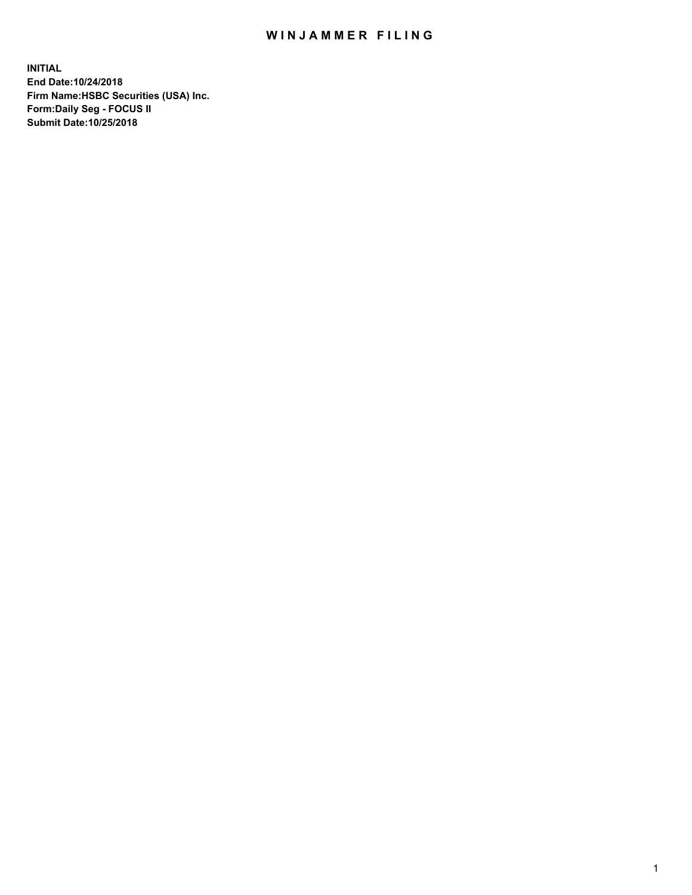## WIN JAMMER FILING

**INITIAL End Date:10/24/2018 Firm Name:HSBC Securities (USA) Inc. Form:Daily Seg - FOCUS II Submit Date:10/25/2018**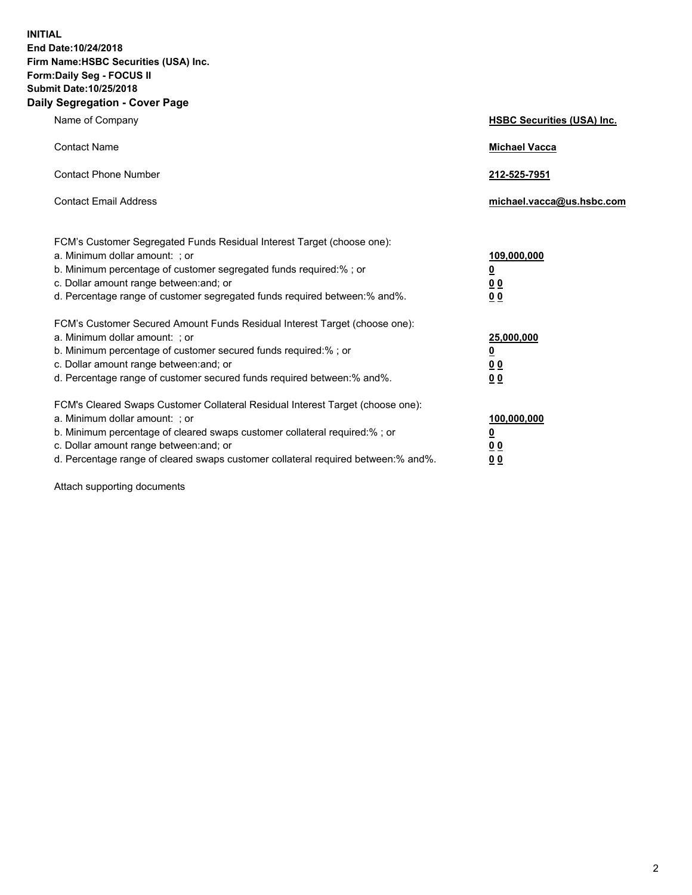**INITIAL End Date:10/24/2018 Firm Name:HSBC Securities (USA) Inc. Form:Daily Seg - FOCUS II Submit Date:10/25/2018 Daily Segregation - Cover Page**

| Name of Company                                                                                                                                                                                                                                                                                                                | <b>HSBC Securities (USA) Inc.</b>                                          |
|--------------------------------------------------------------------------------------------------------------------------------------------------------------------------------------------------------------------------------------------------------------------------------------------------------------------------------|----------------------------------------------------------------------------|
| <b>Contact Name</b>                                                                                                                                                                                                                                                                                                            | <b>Michael Vacca</b>                                                       |
| <b>Contact Phone Number</b>                                                                                                                                                                                                                                                                                                    | 212-525-7951                                                               |
| <b>Contact Email Address</b>                                                                                                                                                                                                                                                                                                   | michael.vacca@us.hsbc.com                                                  |
| FCM's Customer Segregated Funds Residual Interest Target (choose one):<br>a. Minimum dollar amount: ; or<br>b. Minimum percentage of customer segregated funds required:% ; or<br>c. Dollar amount range between: and; or<br>d. Percentage range of customer segregated funds required between:% and%.                         | 109,000,000<br>$\overline{\mathbf{0}}$<br>0 <sub>0</sub><br>0 <sub>0</sub> |
| FCM's Customer Secured Amount Funds Residual Interest Target (choose one):<br>a. Minimum dollar amount: ; or<br>b. Minimum percentage of customer secured funds required:% ; or<br>c. Dollar amount range between: and; or<br>d. Percentage range of customer secured funds required between: % and %.                         | 25,000,000<br>$\overline{\mathbf{0}}$<br>0 <sub>0</sub><br>0 <sub>0</sub>  |
| FCM's Cleared Swaps Customer Collateral Residual Interest Target (choose one):<br>a. Minimum dollar amount: ; or<br>b. Minimum percentage of cleared swaps customer collateral required:% ; or<br>c. Dollar amount range between: and; or<br>d. Percentage range of cleared swaps customer collateral required between:% and%. | 100,000,000<br>$\overline{\mathbf{0}}$<br>0 <sub>0</sub><br>00             |

Attach supporting documents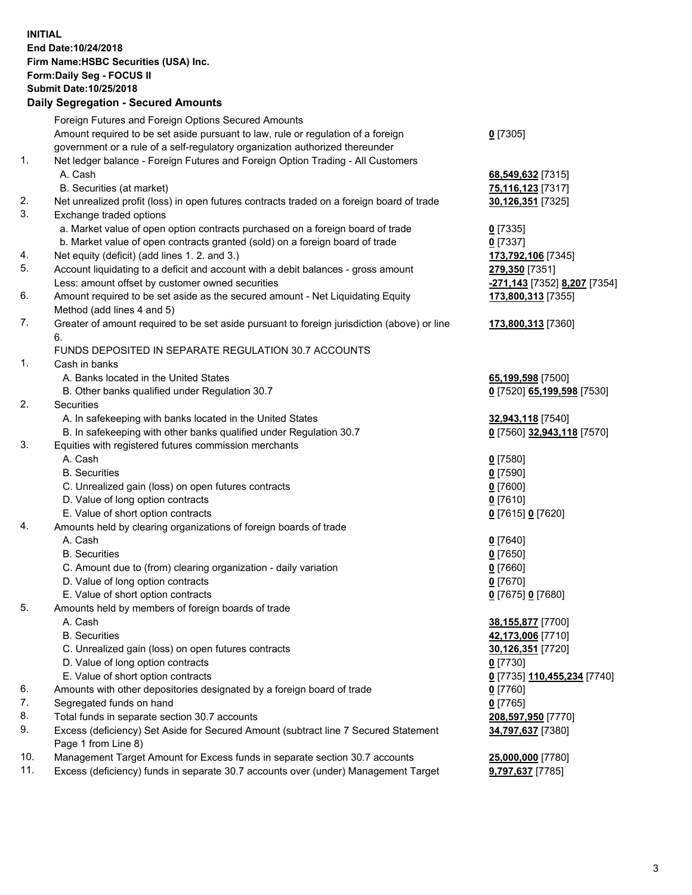**INITIAL End Date:10/24/2018 Firm Name:HSBC Securities (USA) Inc. Form:Daily Seg - FOCUS II Submit Date:10/25/2018 Daily Segregation - Secured Amounts** Foreign Futures and Foreign Options Secured Amounts Amount required to be set aside pursuant to law, rule or regulation of a foreign government or a rule of a self-regulatory organization authorized thereunder **0** [7305] 1. Net ledger balance - Foreign Futures and Foreign Option Trading - All Customers A. Cash **68,549,632** [7315] B. Securities (at market) **75,116,123** [7317] 2. Net unrealized profit (loss) in open futures contracts traded on a foreign board of trade **30,126,351** [7325] 3. Exchange traded options a. Market value of open option contracts purchased on a foreign board of trade **0** [7335] b. Market value of open contracts granted (sold) on a foreign board of trade **0** [7337] 4. Net equity (deficit) (add lines 1. 2. and 3.) **173,792,106** [7345] 5. Account liquidating to a deficit and account with a debit balances - gross amount **279,350** [7351] Less: amount offset by customer owned securities **-271,143** [7352] **8,207** [7354] 6. Amount required to be set aside as the secured amount - Net Liquidating Equity Method (add lines 4 and 5) **173,800,313** [7355] 7. Greater of amount required to be set aside pursuant to foreign jurisdiction (above) or line 6. **173,800,313** [7360] FUNDS DEPOSITED IN SEPARATE REGULATION 30.7 ACCOUNTS 1. Cash in banks A. Banks located in the United States **65,199,598** [7500] B. Other banks qualified under Regulation 30.7 **0** [7520] **65,199,598** [7530] 2. Securities A. In safekeeping with banks located in the United States **32,943,118** [7540] B. In safekeeping with other banks qualified under Regulation 30.7 **0** [7560] **32,943,118** [7570] 3. Equities with registered futures commission merchants A. Cash **0** [7580] B. Securities **0** [7590] C. Unrealized gain (loss) on open futures contracts **0** [7600] D. Value of long option contracts **0** [7610] E. Value of short option contracts **0** [7615] **0** [7620] 4. Amounts held by clearing organizations of foreign boards of trade A. Cash **0** [7640] B. Securities **0** [7650] C. Amount due to (from) clearing organization - daily variation **0** [7660] D. Value of long option contracts **0** [7670] E. Value of short option contracts **0** [7675] **0** [7680] 5. Amounts held by members of foreign boards of trade A. Cash **38,155,877** [7700] B. Securities **42,173,006** [7710] C. Unrealized gain (loss) on open futures contracts **30,126,351** [7720] D. Value of long option contracts **0** [7730] E. Value of short option contracts **0** [7735] **110,455,234** [7740] 6. Amounts with other depositories designated by a foreign board of trade **0** [7760] 7. Segregated funds on hand **0** [7765] 8. Total funds in separate section 30.7 accounts **208,597,950** [7770] 9. Excess (deficiency) Set Aside for Secured Amount (subtract line 7 Secured Statement **34,797,637** [7380]

Page 1 from Line 8)

10. Management Target Amount for Excess funds in separate section 30.7 accounts **25,000,000** [7780] 11. Excess (deficiency) funds in separate 30.7 accounts over (under) Management Target **9,797,637** [7785]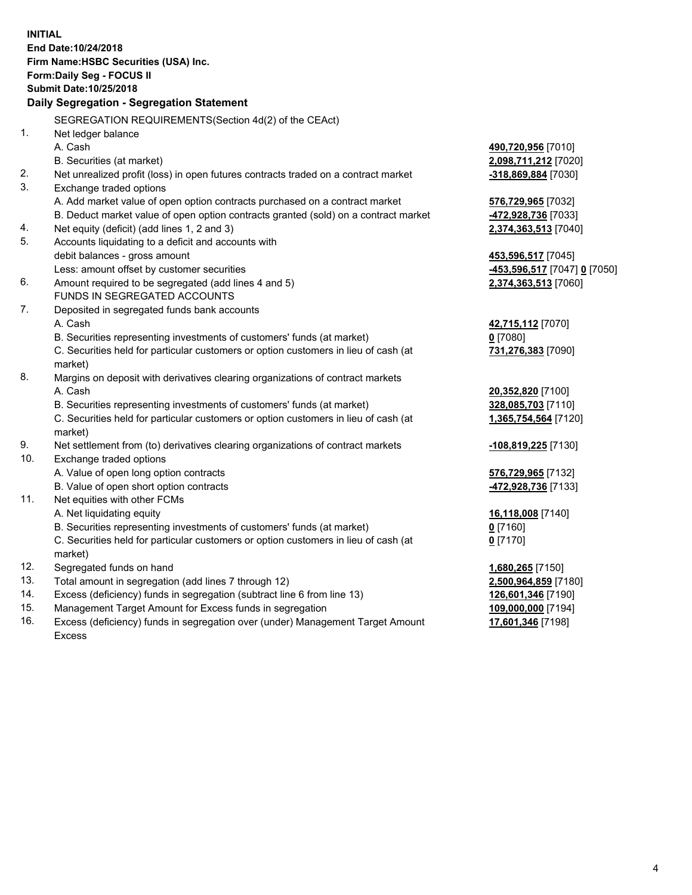|     | <b>INITIAL</b>                                                                      |                              |
|-----|-------------------------------------------------------------------------------------|------------------------------|
|     | End Date: 10/24/2018                                                                |                              |
|     | Firm Name: HSBC Securities (USA) Inc.                                               |                              |
|     | Form: Daily Seg - FOCUS II                                                          |                              |
|     | Submit Date: 10/25/2018                                                             |                              |
|     | Daily Segregation - Segregation Statement                                           |                              |
|     | SEGREGATION REQUIREMENTS(Section 4d(2) of the CEAct)                                |                              |
| 1.  | Net ledger balance                                                                  |                              |
|     | A. Cash                                                                             | 490,720,956 [7010]           |
|     | B. Securities (at market)                                                           | 2,098,711,212 [7020]         |
| 2.  | Net unrealized profit (loss) in open futures contracts traded on a contract market  | -318,869,884 [7030]          |
| 3.  | Exchange traded options                                                             |                              |
|     | A. Add market value of open option contracts purchased on a contract market         | 576,729,965 [7032]           |
|     | B. Deduct market value of open option contracts granted (sold) on a contract market | 472,928,736 [7033]           |
| 4.  | Net equity (deficit) (add lines 1, 2 and 3)                                         | 2,374,363,513 [7040]         |
| 5.  | Accounts liquidating to a deficit and accounts with                                 |                              |
|     | debit balances - gross amount                                                       | 453,596,517 [7045]           |
|     | Less: amount offset by customer securities                                          | -453,596,517 [7047] 0 [7050] |
| 6.  | Amount required to be segregated (add lines 4 and 5)                                | 2,374,363,513 [7060]         |
|     | FUNDS IN SEGREGATED ACCOUNTS                                                        |                              |
| 7.  | Deposited in segregated funds bank accounts                                         |                              |
|     | A. Cash                                                                             | 42,715,112 [7070]            |
|     | B. Securities representing investments of customers' funds (at market)              | $0$ [7080]                   |
|     | C. Securities held for particular customers or option customers in lieu of cash (at | 731,276,383 [7090]           |
|     | market)                                                                             |                              |
| 8.  | Margins on deposit with derivatives clearing organizations of contract markets      |                              |
|     | A. Cash                                                                             | 20,352,820 [7100]            |
|     | B. Securities representing investments of customers' funds (at market)              | 328,085,703 [7110]           |
|     | C. Securities held for particular customers or option customers in lieu of cash (at | 1,365,754,564 [7120]         |
|     | market)                                                                             |                              |
| 9.  | Net settlement from (to) derivatives clearing organizations of contract markets     | -108,819,225 [7130]          |
| 10. | Exchange traded options                                                             |                              |
|     | A. Value of open long option contracts                                              | 576,729,965 [7132]           |
|     | B. Value of open short option contracts                                             | 472,928,736 [7133]           |
| 11. | Net equities with other FCMs                                                        |                              |
|     | A. Net liquidating equity                                                           | 16,118,008 [7140]            |
|     | B. Securities representing investments of customers' funds (at market)              | $0$ [7160]                   |
|     | C. Securities held for particular customers or option customers in lieu of cash (at | $0$ [7170]                   |
|     | market)                                                                             |                              |
| 12. | Segregated funds on hand                                                            | 1,680,265 [7150]             |
| 13. | Total amount in segregation (add lines 7 through 12)                                | 2,500,964,859 [7180]         |
| 14. | Excess (deficiency) funds in segregation (subtract line 6 from line 13)             | 126,601,346 [7190]           |
| 15. | Management Target Amount for Excess funds in segregation                            | 109,000,000 [7194]           |
| 16. | Excess (deficiency) funds in segregation over (under) Management Target Amount      | 17,601,346 [7198]            |

16. Excess (deficiency) funds in segregation over (under) Management Target Amount Excess